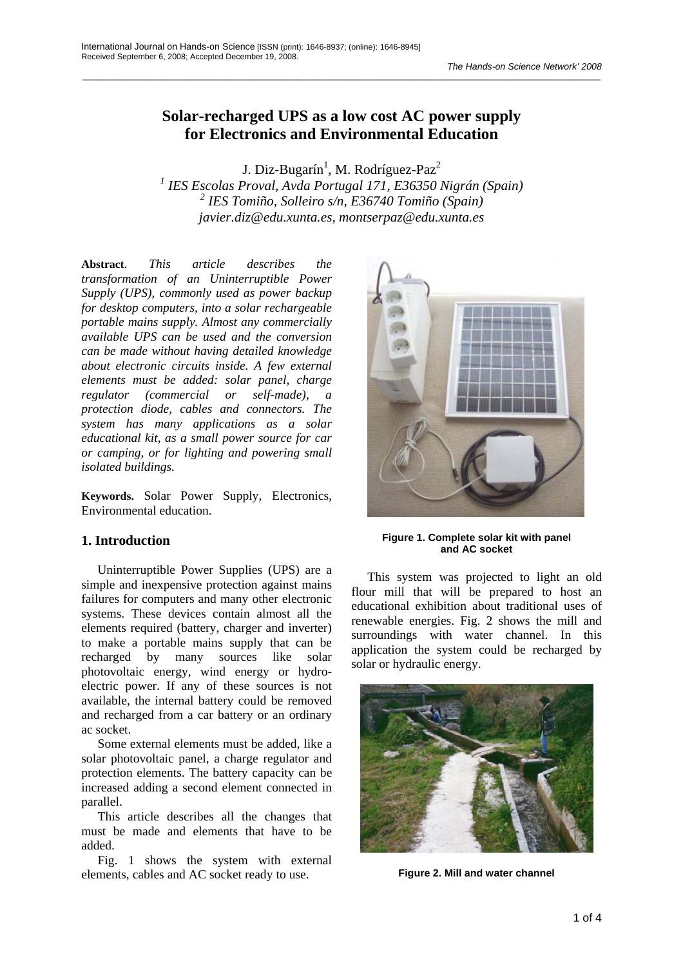# **Solar-recharged UPS as a low cost AC power supply for Electronics and Environmental Education**

\_\_\_\_\_\_\_\_\_\_\_\_\_\_\_\_\_\_\_\_\_\_\_\_\_\_\_\_\_\_\_\_\_\_\_\_\_\_\_\_\_\_\_\_\_\_\_\_\_\_\_\_\_\_\_\_\_\_\_\_\_\_\_\_\_\_\_\_\_\_\_\_\_\_\_\_\_\_\_\_\_\_\_\_\_\_\_\_\_\_\_\_\_\_\_\_\_\_\_\_\_\_\_\_\_\_\_\_\_\_\_\_\_\_\_\_

J. Diz-Bugarín<sup>1</sup>, M. Rodríguez-Paz<sup>2</sup>

*1 IES Escolas Proval, Avda Portugal 171, E36350 Nigrán (Spain) 2 IES Tomiño, Solleiro s/n, E36740 Tomiño (Spain) javier.diz@edu.xunta.es, montserpaz@edu.xunta.es* 

**Abstract**. *This article describes the transformation of an Uninterruptible Power Supply (UPS), commonly used as power backup for desktop computers, into a solar rechargeable portable mains supply. Almost any commercially available UPS can be used and the conversion can be made without having detailed knowledge about electronic circuits inside. A few external elements must be added: solar panel, charge regulator (commercial or self-made), a protection diode, cables and connectors. The system has many applications as a solar educational kit, as a small power source for car or camping, or for lighting and powering small isolated buildings.* 

**Keywords.** Solar Power Supply, Electronics, Environmental education.

## **1. Introduction**

Uninterruptible Power Supplies (UPS) are a simple and inexpensive protection against mains failures for computers and many other electronic systems. These devices contain almost all the elements required (battery, charger and inverter) to make a portable mains supply that can be recharged by many sources like solar photovoltaic energy, wind energy or hydroelectric power. If any of these sources is not available, the internal battery could be removed and recharged from a car battery or an ordinary ac socket.

Some external elements must be added, like a solar photovoltaic panel, a charge regulator and protection elements. The battery capacity can be increased adding a second element connected in parallel.

This article describes all the changes that must be made and elements that have to be added.

Fig. 1 shows the system with external elements, cables and AC socket ready to use.



**Figure 1. Complete solar kit with panel and AC socket** 

This system was projected to light an old flour mill that will be prepared to host an educational exhibition about traditional uses of renewable energies. Fig. 2 shows the mill and surroundings with water channel. In this application the system could be recharged by solar or hydraulic energy.



**Figure 2. Mill and water channel**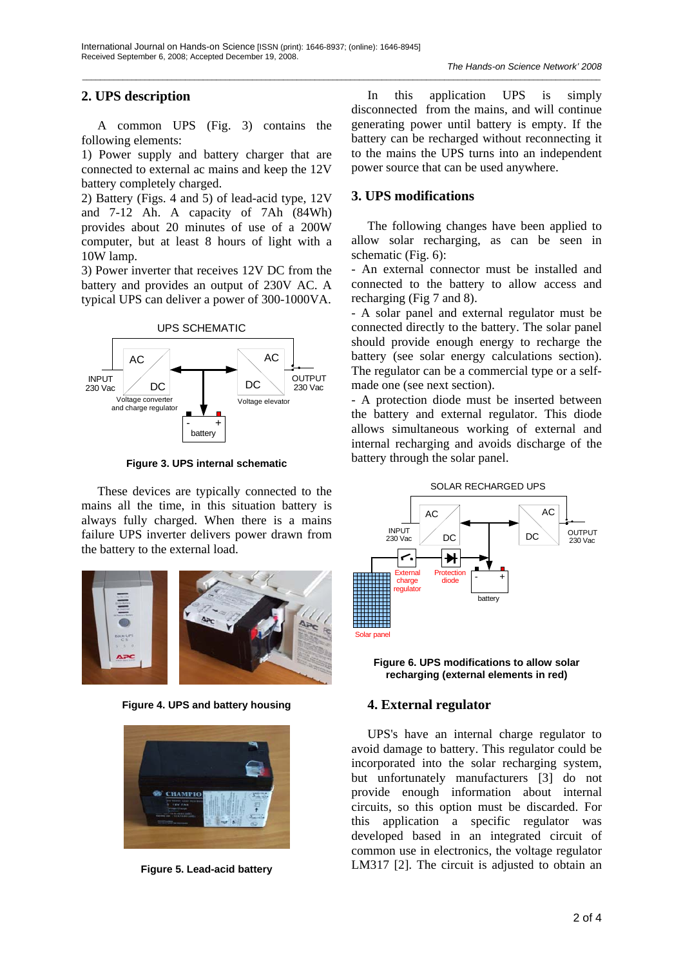## **2. UPS description**

A common UPS (Fig. 3) contains the following elements:

1) Power supply and battery charger that are connected to external ac mains and keep the 12V battery completely charged.

2) Battery (Figs. 4 and 5) of lead-acid type, 12V and 7-12 Ah. A capacity of 7Ah (84Wh) provides about 20 minutes of use of a 200W computer, but at least 8 hours of light with a 10W lamp.

3) Power inverter that receives 12V DC from the battery and provides an output of 230V AC. A typical UPS can deliver a power of 300-1000VA.



**Figure 3. UPS internal schematic** 

These devices are typically connected to the mains all the time, in this situation battery is always fully charged. When there is a mains failure UPS inverter delivers power drawn from the battery to the external load.



**Figure 4. UPS and battery housing** 



**Figure 5. Lead-acid battery** 

In this application UPS is simply disconnected from the mains, and will continue generating power until battery is empty. If the battery can be recharged without reconnecting it to the mains the UPS turns into an independent power source that can be used anywhere.

## **3. UPS modifications**

The following changes have been applied to allow solar recharging, as can be seen in schematic (Fig. 6):

- An external connector must be installed and connected to the battery to allow access and recharging (Fig 7 and 8).

- A solar panel and external regulator must be connected directly to the battery. The solar panel should provide enough energy to recharge the battery (see solar energy calculations section). The regulator can be a commercial type or a selfmade one (see next section).

- A protection diode must be inserted between the battery and external regulator. This diode allows simultaneous working of external and internal recharging and avoids discharge of the battery through the solar panel.





## **4. External regulator**

UPS's have an internal charge regulator to avoid damage to battery. This regulator could be incorporated into the solar recharging system, but unfortunately manufacturers [3] do not provide enough information about internal circuits, so this option must be discarded. For this application a specific regulator was developed based in an integrated circuit of common use in electronics, the voltage regulator LM317 [2]. The circuit is adjusted to obtain an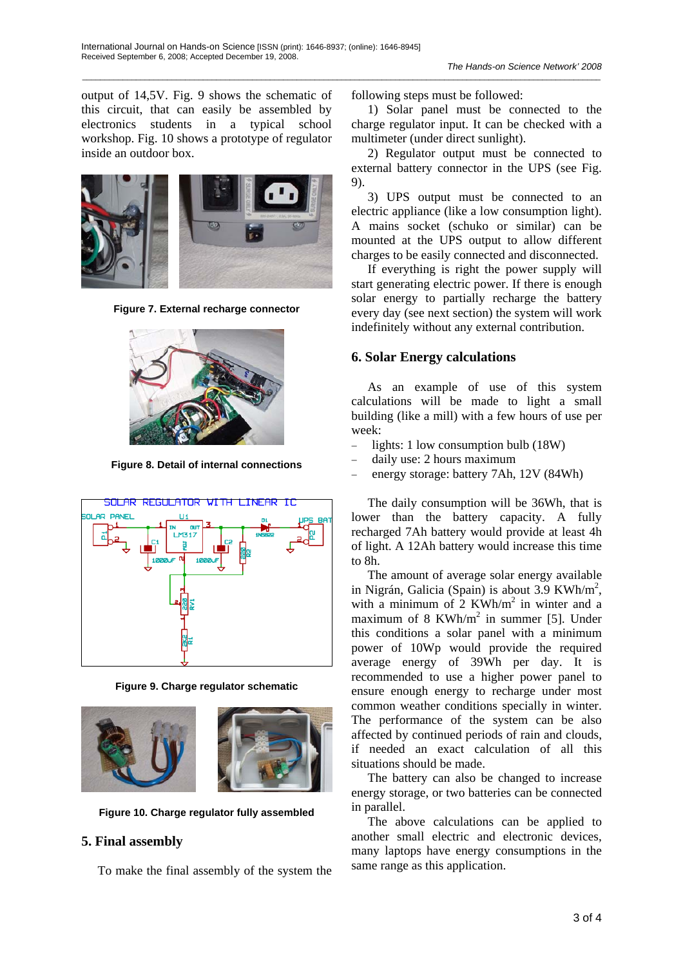output of 14,5V. Fig. 9 shows the schematic of this circuit, that can easily be assembled by electronics students in a typical school workshop. Fig. 10 shows a prototype of regulator inside an outdoor box.



**Figure 7. External recharge connector** 



**Figure 8. Detail of internal connections** 



**Figure 9. Charge regulator schematic** 



**Figure 10. Charge regulator fully assembled** 

#### **5. Final assembly**

To make the final assembly of the system the

following steps must be followed:

1) Solar panel must be connected to the charge regulator input. It can be checked with a multimeter (under direct sunlight).

2) Regulator output must be connected to external battery connector in the UPS (see Fig. 9).

3) UPS output must be connected to an electric appliance (like a low consumption light). A mains socket (schuko or similar) can be mounted at the UPS output to allow different charges to be easily connected and disconnected.

If everything is right the power supply will start generating electric power. If there is enough solar energy to partially recharge the battery every day (see next section) the system will work indefinitely without any external contribution.

### **6. Solar Energy calculations**

As an example of use of this system calculations will be made to light a small building (like a mill) with a few hours of use per week:

- − lights: 1 low consumption bulb (18W)
- − daily use: 2 hours maximum
- energy storage: battery 7Ah, 12V (84Wh)

The daily consumption will be 36Wh, that is lower than the battery capacity. A fully recharged 7Ah battery would provide at least 4h of light. A 12Ah battery would increase this time to 8h.

The amount of average solar energy available in Nigrán, Galicia (Spain) is about 3.9 KWh/m<sup>2</sup>, with a minimum of  $2$  KWh/m<sup>2</sup> in winter and a maximum of 8 KWh/m<sup>2</sup> in summer [5]. Under this conditions a solar panel with a minimum power of 10Wp would provide the required average energy of 39Wh per day. It is recommended to use a higher power panel to ensure enough energy to recharge under most common weather conditions specially in winter. The performance of the system can be also affected by continued periods of rain and clouds, if needed an exact calculation of all this situations should be made.

The battery can also be changed to increase energy storage, or two batteries can be connected in parallel.

The above calculations can be applied to another small electric and electronic devices, many laptops have energy consumptions in the same range as this application.